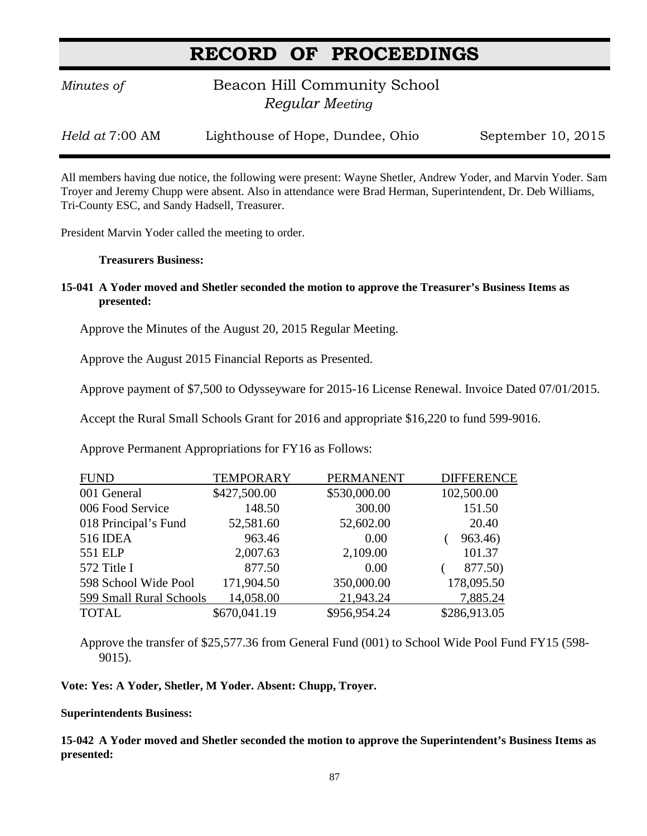# **RECORD OF PROCEEDINGS**

*Minutes of* **Beacon Hill Community School**  *Regular Meeting*

*Held at* 7:00 AM Lighthouse of Hope, Dundee, Ohio September 10, 2015

All members having due notice, the following were present: Wayne Shetler, Andrew Yoder, and Marvin Yoder. Sam Troyer and Jeremy Chupp were absent. Also in attendance were Brad Herman, Superintendent, Dr. Deb Williams, Tri-County ESC, and Sandy Hadsell, Treasurer.

President Marvin Yoder called the meeting to order.

#### **Treasurers Business:**

**15-041 A Yoder moved and Shetler seconded the motion to approve the Treasurer's Business Items as presented:**

Approve the Minutes of the August 20, 2015 Regular Meeting.

Approve the August 2015 Financial Reports as Presented.

Approve payment of \$7,500 to Odysseyware for 2015-16 License Renewal. Invoice Dated 07/01/2015.

Accept the Rural Small Schools Grant for 2016 and appropriate \$16,220 to fund 599-9016.

Approve Permanent Appropriations for FY16 as Follows:

| <b>FUND</b>             | <b>TEMPORARY</b> | <b>PERMANENT</b> | <b>DIFFERENCE</b> |
|-------------------------|------------------|------------------|-------------------|
| 001 General             | \$427,500.00     | \$530,000.00     | 102,500.00        |
| 006 Food Service        | 148.50           | 300.00           | 151.50            |
| 018 Principal's Fund    | 52,581.60        | 52,602.00        | 20.40             |
| <b>516 IDEA</b>         | 963.46           | 0.00             | 963.46)           |
| 551 ELP                 | 2,007.63         | 2,109.00         | 101.37            |
| 572 Title I             | 877.50           | 0.00             | 877.50)           |
| 598 School Wide Pool    | 171,904.50       | 350,000.00       | 178,095.50        |
| 599 Small Rural Schools | 14,058.00        | 21,943.24        | 7,885.24          |
| <b>TOTAL</b>            | \$670,041.19     | \$956,954.24     | \$286,913.05      |

Approve the transfer of \$25,577.36 from General Fund (001) to School Wide Pool Fund FY15 (598- 9015).

**Vote: Yes: A Yoder, Shetler, M Yoder. Absent: Chupp, Troyer.**

# **Superintendents Business:**

**15-042 A Yoder moved and Shetler seconded the motion to approve the Superintendent's Business Items as presented:**